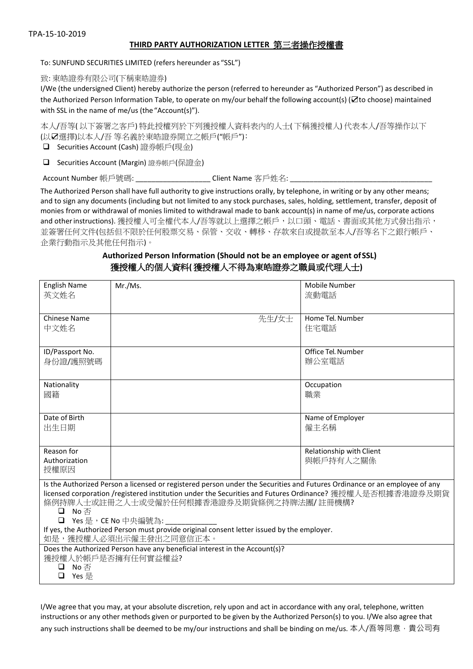## **THIRD PARTY AUTHORIZATION LETTER** 第三者操作授權書

To: SUNFUND SECURITIES LIMITED (refers hereunder as "SSL")

致: 東皓證券有限公司(下稱東皓證券)

I/We (the undersigned Client) hereby authorize the person (referred to hereunder as "Authorized Person") as described in the Authorized Person Information Table, to operate on my/our behalf the following account(s) (☑to choose) maintained with SSL in the name of me/us (the"Account(s)").

本人/吾等( 以下簽署之客戶) 特此授權列於下列獲授權人資料表內的人士( 下稱獲授權人) 代表本人/吾等操作以下 (以☑選擇)以本人/吾 等名義於東皓證券開立之帳戶("帳戶")﹕

❑ Securities Account (Cash) 證券帳戶(現金)

❑ Securities Account (Margin) 證券帳戶(保證金)

Account Number 帳戶號碼: \_\_\_\_\_\_\_\_\_\_\_\_\_\_\_\_\_\_\_\_\_\_\_ Client Name 客戶姓名: \_\_

The Authorized Person shall have full authority to give instructions orally, by telephone, in writing or by any other means; and to sign any documents (including but not limited to any stock purchases, sales, holding, settlement, transfer, deposit of monies from or withdrawal of monies limited to withdrawal made to bank account(s) in name of me/us, corporate actions and other instructions). 獲授權人可全權代本人/吾等就以上選擇之帳戶, 以口頭、電話、書面或其他方式發出指示, 並簽署任何文件(包括但不限於任何股票交易、保管、交收、轉移、存款來自或提款至本人/吾等名下之銀行帳戶、 企業行動指示及其他任何指示)。

## **Authorized Person Information (Should not be an employee or agent ofSSL)** 獲授權人的個人資料**(** 獲授權人不得為東皓證券之職員或代理人士**)**

| <b>English Name</b><br>英文姓名                                                                                                                          | Mr./Ms. | Mobile Number<br>流動電話    |  |  |
|------------------------------------------------------------------------------------------------------------------------------------------------------|---------|--------------------------|--|--|
|                                                                                                                                                      |         |                          |  |  |
| <b>Chinese Name</b>                                                                                                                                  | 先生/女士   | Home Tel. Number         |  |  |
| 中文姓名                                                                                                                                                 |         | 住宅電話                     |  |  |
| ID/Passport No.                                                                                                                                      |         | Office Tel. Number       |  |  |
| 身份證/護照號碼                                                                                                                                             |         | 辦公室電話                    |  |  |
| Nationality                                                                                                                                          |         | Occupation               |  |  |
| 國籍                                                                                                                                                   |         | 職業                       |  |  |
| Date of Birth                                                                                                                                        |         | Name of Employer         |  |  |
| 出生日期                                                                                                                                                 |         | 僱主名稱                     |  |  |
| Reason for                                                                                                                                           |         | Relationship with Client |  |  |
| Authorization<br>授權原因                                                                                                                                |         | 與帳戶持有人之關係                |  |  |
| Is the Authorized Person a licensed or registered person under the Securities and Futures Ordinance or an employee of any                            |         |                          |  |  |
| licensed corporation /registered institution under the Securities and Futures Ordinance? 獲授權人是否根據香港證券及期貨<br>條例持牌人士或註冊之人士或受僱於任何根據香港證券及期貨條例之持牌法團/註冊機構? |         |                          |  |  |
| 口 No否<br>□ Yes 是, CE No 中央編號為:                                                                                                                       |         |                          |  |  |
| If yes, the Authorized Person must provide original consent letter issued by the employer.<br>如是,獲授權人必須出示僱主發出之同意信正本。                                 |         |                          |  |  |
| Does the Authorized Person have any beneficial interest in the Account(s)?                                                                           |         |                          |  |  |
| 獲授權人於帳戶是否擁有任何實益權益?<br>No 否<br>❏                                                                                                                      |         |                          |  |  |
| Yes 是<br>$\Box$                                                                                                                                      |         |                          |  |  |
|                                                                                                                                                      |         |                          |  |  |

I/We agree that you may, at your absolute discretion, rely upon and act in accordance with any oral, telephone, written instructions or any other methods given or purported to be given by the Authorized Person(s) to you. I/We also agree that any such instructions shall be deemed to be my/our instructions and shall be binding on me/us. 本人/吾等同意,貴公司有